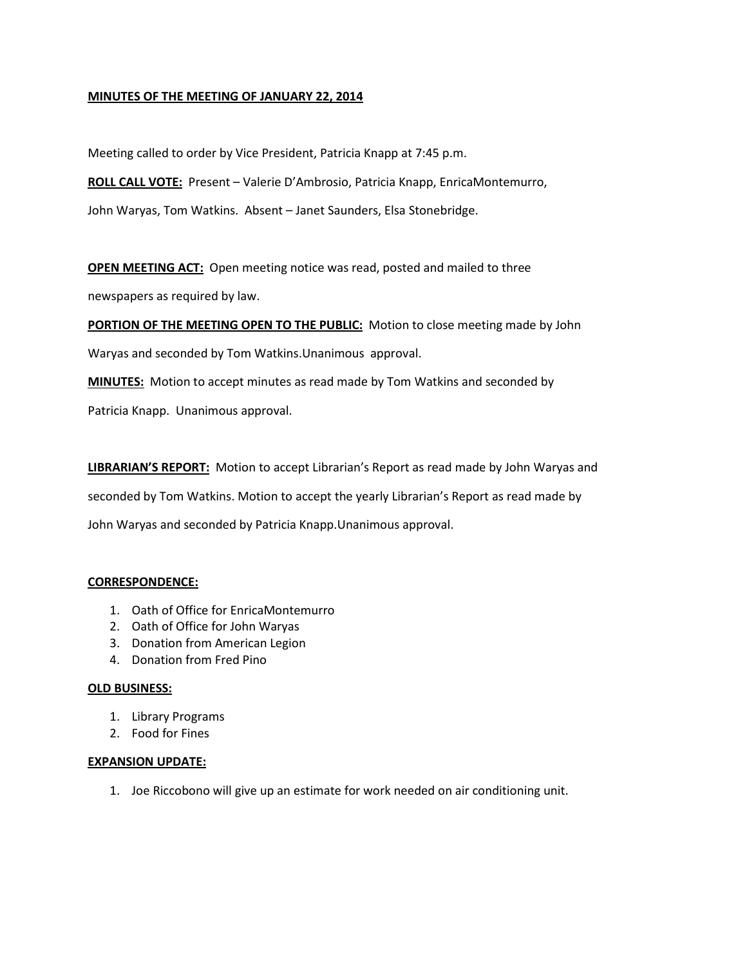### **MINUTES OF THE MEETING OF JANUARY 22, 2014**

Meeting called to order by Vice President, Patricia Knapp at 7:45 p.m.

**ROLL CALL VOTE:** Present – Valerie D'Ambrosio, Patricia Knapp, EnricaMontemurro,

John Waryas, Tom Watkins. Absent – Janet Saunders, Elsa Stonebridge.

**OPEN MEETING ACT:** Open meeting notice was read, posted and mailed to three

newspapers as required by law.

**PORTION OF THE MEETING OPEN TO THE PUBLIC:** Motion to close meeting made by John

Waryas and seconded by Tom Watkins.Unanimous approval.

**MINUTES:** Motion to accept minutes as read made by Tom Watkins and seconded by

Patricia Knapp. Unanimous approval.

**LIBRARIAN'S REPORT:** Motion to accept Librarian's Report as read made by John Waryas and seconded by Tom Watkins. Motion to accept the yearly Librarian's Report as read made by John Waryas and seconded by Patricia Knapp.Unanimous approval.

## **CORRESPONDENCE:**

- 1. Oath of Office for EnricaMontemurro
- 2. Oath of Office for John Waryas
- 3. Donation from American Legion
- 4. Donation from Fred Pino

#### **OLD BUSINESS:**

- 1. Library Programs
- 2. Food for Fines

#### **EXPANSION UPDATE:**

1. Joe Riccobono will give up an estimate for work needed on air conditioning unit.